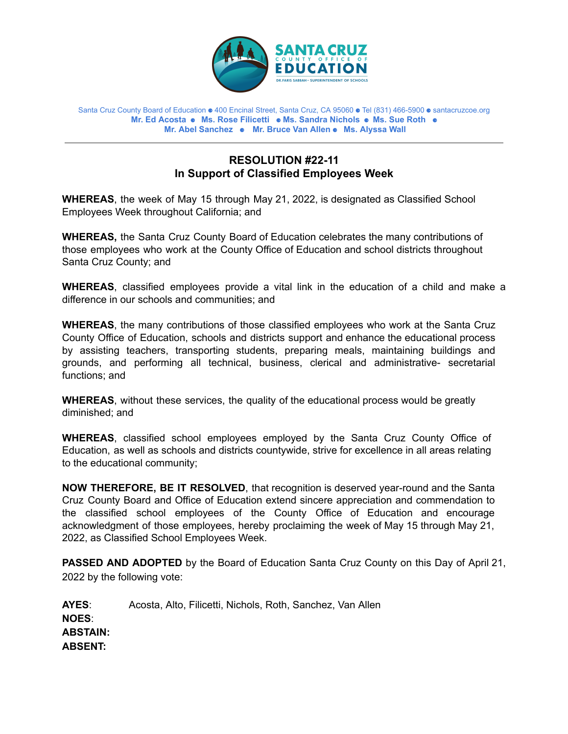

Santa Cruz County Board of Education ⚈ 400 Encinal Street, Santa Cruz, CA 95060 ⚈ Tel (831) 466-5900 ⚈ santacruzcoe.org **Mr. Ed Acosta** ⚈ **Ms. Rose Filicetti** ⚈ **Ms. Sandra Nichols** ⚈ **Ms. Sue Roth** ⚈ **Mr. Abel Sanchez** ⚈ **Mr. Bruce Van Allen** ⚈ **Ms. Alyssa Wall**

## **RESOLUTION #22-11 In Support of Classified Employees Week**

**WHEREAS**, the week of May 15 through May 21, 2022, is designated as Classified School Employees Week throughout California; and

**WHEREAS,** the Santa Cruz County Board of Education celebrates the many contributions of those employees who work at the County Office of Education and school districts throughout Santa Cruz County; and

**WHEREAS**, classified employees provide a vital link in the education of a child and make a difference in our schools and communities; and

**WHEREAS**, the many contributions of those classified employees who work at the Santa Cruz County Office of Education, schools and districts support and enhance the educational process by assisting teachers, transporting students, preparing meals, maintaining buildings and grounds, and performing all technical, business, clerical and administrative- secretarial functions; and

**WHEREAS**, without these services, the quality of the educational process would be greatly diminished; and

**WHEREAS**, classified school employees employed by the Santa Cruz County Office of Education, as well as schools and districts countywide, strive for excellence in all areas relating to the educational community;

**NOW THEREFORE, BE IT RESOLVED**, that recognition is deserved year-round and the Santa Cruz County Board and Office of Education extend sincere appreciation and commendation to the classified school employees of the County Office of Education and encourage acknowledgment of those employees, hereby proclaiming the week of May 15 through May 21, 2022, as Classified School Employees Week.

**PASSED AND ADOPTED** by the Board of Education Santa Cruz County on this Day of April 21, 2022 by the following vote:

**AYES**: Acosta, Alto, Filicetti, Nichols, Roth, Sanchez, Van Allen **NOES**: **ABSTAIN: ABSENT:**